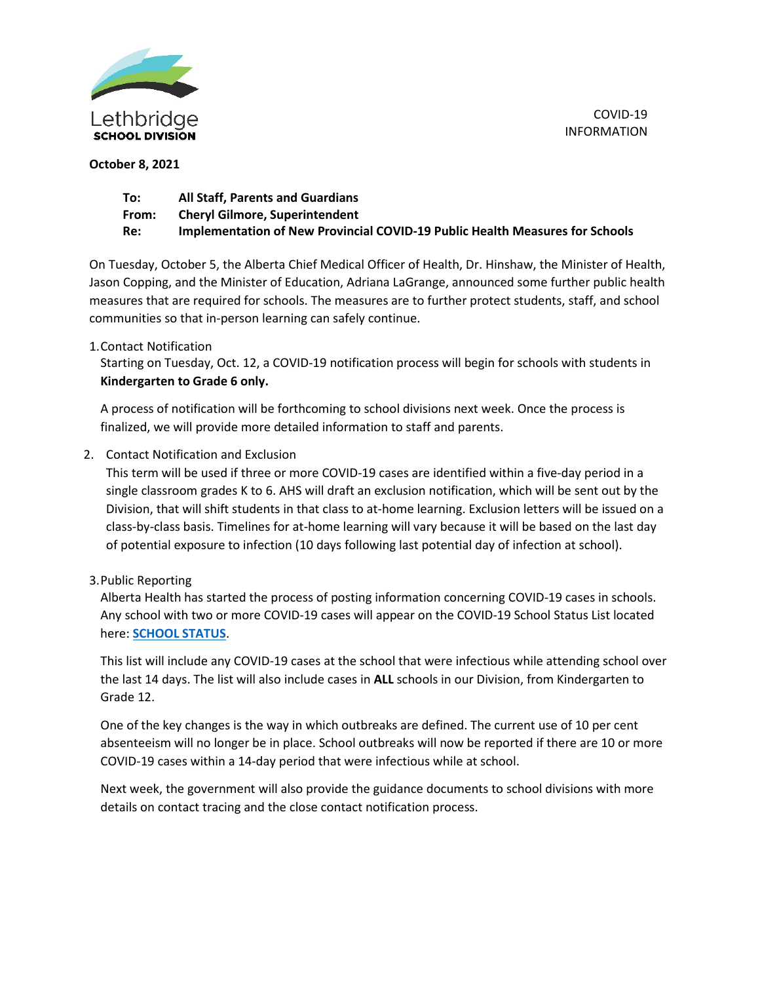

COVID-19 INFORMATION

## **October 8, 2021**

| To:   | <b>All Staff, Parents and Guardians</b>                                      |
|-------|------------------------------------------------------------------------------|
| From: | <b>Cheryl Gilmore, Superintendent</b>                                        |
| Re:   | Implementation of New Provincial COVID-19 Public Health Measures for Schools |

On Tuesday, October 5, the Alberta Chief Medical Officer of Health, Dr. Hinshaw, the Minister of Health, Jason Copping, and the Minister of Education, Adriana LaGrange, announced some further public health measures that are required for schools. The measures are to further protect students, staff, and school communities so that in-person learning can safely continue.

## 1.Contact Notification

Starting on Tuesday, Oct. 12, a COVID-19 notification process will begin for schools with students in **Kindergarten to Grade 6 only.**

A process of notification will be forthcoming to school divisions next week. Once the process is finalized, we will provide more detailed information to staff and parents.

2. Contact Notification and Exclusion

This term will be used if three or more COVID-19 cases are identified within a five-day period in a single classroom grades K to 6. AHS will draft an exclusion notification, which will be sent out by the Division, that will shift students in that class to at-home learning. Exclusion letters will be issued on a class-by-class basis. Timelines for at-home learning will vary because it will be based on the last day of potential exposure to infection (10 days following last potential day of infection at school).

## 3.Public Reporting

Alberta Health has started the process of posting information concerning COVID-19 cases in schools. Any school with two or more COVID-19 cases will appear on the COVID-19 School Status List located here: **[SCHOOL STATUS](https://www.alberta.ca/covid-19-school-status-map.aspx?fbclid=IwAR2zH7KFKRx5ffNd3AgF2lUkDhunv-mylP4wPf9WUAZj0d4zOJVpEeq4sFg)**.

This list will include any COVID-19 cases at the school that were infectious while attending school over the last 14 days. The list will also include cases in **ALL** schools in our Division, from Kindergarten to Grade 12.

One of the key changes is the way in which outbreaks are defined. The current use of 10 per cent absenteeism will no longer be in place. School outbreaks will now be reported if there are 10 or more COVID-19 cases within a 14-day period that were infectious while at school.

Next week, the government will also provide the guidance documents to school divisions with more details on contact tracing and the close contact notification process.